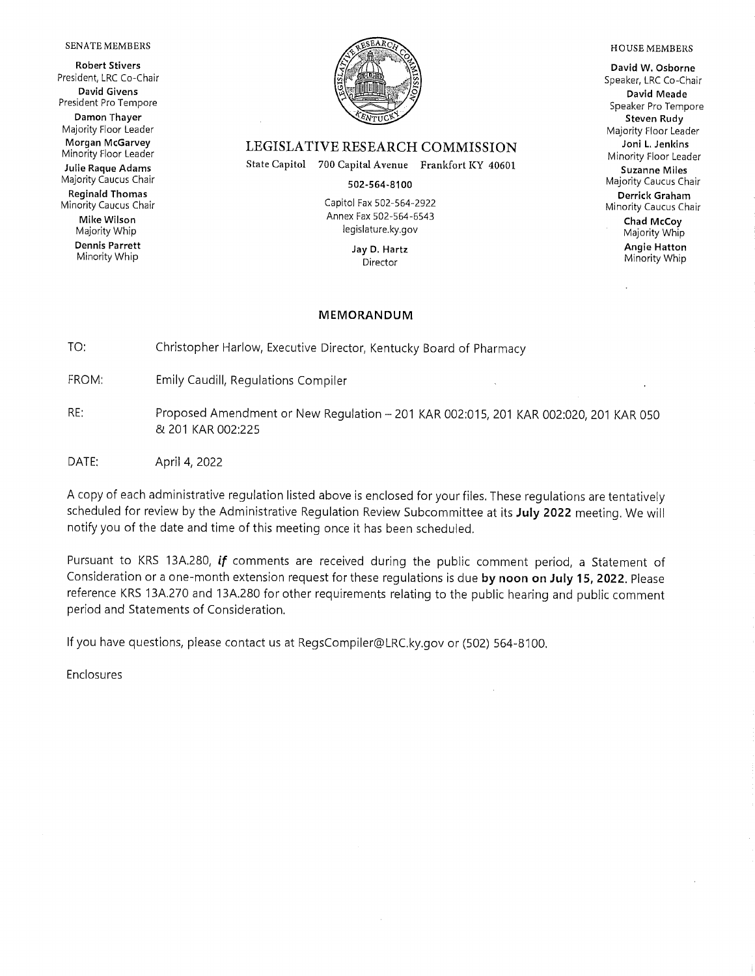#### SENATE MEMBERS

**Robert Stivers** President, LRC Co-Chair **David Givens** President Pro Tempore Damon Thayer Majority Floor Leader Morgan McGarvey Minority Floor Leader Julie Raque Adams Majority Caucus Chair **Reginald Thomas** 

Minority Caucus Chair Mike Wilson Majority Whip **Dennis Parrett** Minority Whip



### LEGISLATIVE RESEARCH COMMISSION

State Capitol 700 Capital Avenue Frankfort KY 40601

502-564-8100

Capitol Fax 502-564-2922 Annex Fax 502-564-6543 legislature.ky.gov

> Jay D. Hartz Director

### **MEMORANDUM**

TO: Christopher Harlow, Executive Director, Kentucky Board of Pharmacy

FROM: **Emily Caudill, Regulations Compiler** 

- RE: Proposed Amendment or New Regulation - 201 KAR 002:015, 201 KAR 002:020, 201 KAR 050 & 201 KAR 002:225
- DATE: April 4, 2022

A copy of each administrative regulation listed above is enclosed for your files. These regulations are tentatively scheduled for review by the Administrative Regulation Review Subcommittee at its July 2022 meeting. We will notify you of the date and time of this meeting once it has been scheduled.

Pursuant to KRS 13A.280, if comments are received during the public comment period, a Statement of Consideration or a one-month extension request for these requlations is due by noon on July 15, 2022. Please reference KRS 13A.270 and 13A.280 for other requirements relating to the public hearing and public comment period and Statements of Consideration.

If you have questions, please contact us at RegsCompiler@LRC.ky.gov or (502) 564-8100.

Enclosures

### **HOUSE MEMBERS**

David W. Osborne Speaker, LRC Co-Chair David Meade Speaker Pro Tempore Steven Rudy Majority Floor Leader Joni L. Jenkins Minority Floor Leader **Suzanne Miles** Majority Caucus Chair Derrick Graham Minority Caucus Chair Chad McCoy Majority Whip **Angie Hatton** Minority Whip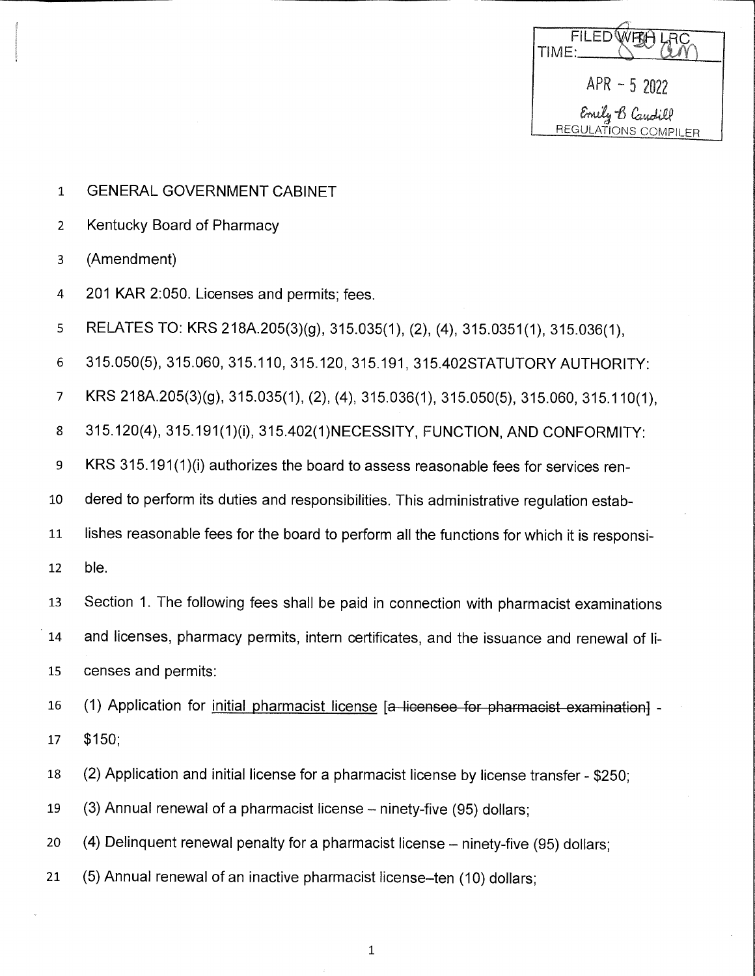**FILED** TIME:  $APR - 52022$ Emily B Candill REGULATIONS COMPILER

- $\mathbf{1}$ **GENERAL GOVERNMENT CABINET**
- Kentucky Board of Pharmacy  $\overline{2}$
- $\overline{3}$ (Amendment)
- 201 KAR 2:050. Licenses and permits; fees.  $\overline{4}$
- RELATES TO: KRS 218A.205(3)(g), 315.035(1), (2), (4), 315.0351(1), 315.036(1), 5
- 6 315.050(5), 315.060, 315.110, 315.120, 315.191, 315.402STATUTORY AUTHORITY:
- KRS 218A.205(3)(g), 315.035(1), (2), (4), 315.036(1), 315.050(5), 315.060, 315.110(1),  $\overline{7}$
- 8 315.120(4), 315.191(1)(i), 315.402(1)NECESSITY, FUNCTION, AND CONFORMITY:
- KRS 315.191(1)(i) authorizes the board to assess reasonable fees for services ren-9
- dered to perform its duties and responsibilities. This administrative regulation estab-10
- lishes reasonable fees for the board to perform all the functions for which it is responsi-11
- ble. 12
- Section 1. The following fees shall be paid in connection with pharmacist examinations 13
- and licenses, pharmacy permits, intern certificates, and the issuance and renewal of li-14
- 15 censes and permits:
- (1) Application for initial pharmacist license [a licensee for pharmacist examination] -16
- $$150;$ 17
- (2) Application and initial license for a pharmacist license by license transfer \$250; 18
- 19 (3) Annual renewal of a pharmacist license – ninety-five (95) dollars:
- 20 (4) Delinguent renewal penalty for a pharmacist license – ninety-five (95) dollars:
- 21 (5) Annual renewal of an inactive pharmacist license-ten (10) dollars:

 $\mathbf 1$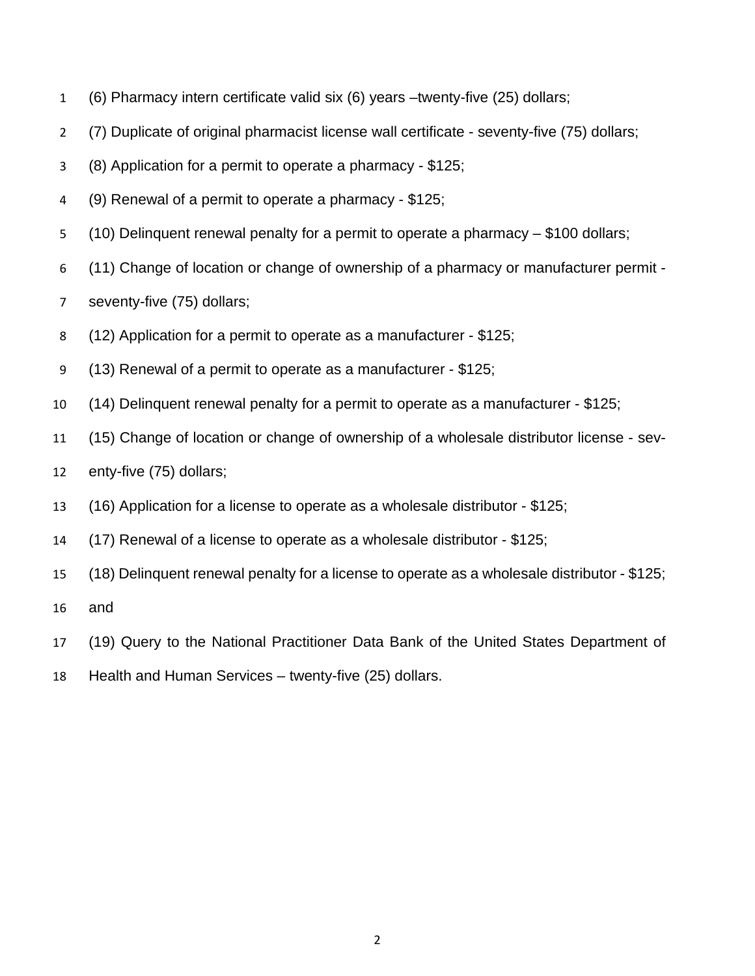- (6) Pharmacy intern certificate valid six (6) years –twenty-five (25) dollars;
- (7) Duplicate of original pharmacist license wall certificate seventy-five (75) dollars;
- (8) Application for a permit to operate a pharmacy \$125;
- (9) Renewal of a permit to operate a pharmacy \$125;
- (10) Delinquent renewal penalty for a permit to operate a pharmacy \$100 dollars;
- (11) Change of location or change of ownership of a pharmacy or manufacturer permit -
- seventy-five (75) dollars;
- (12) Application for a permit to operate as a manufacturer \$125;
- (13) Renewal of a permit to operate as a manufacturer \$125;
- (14) Delinquent renewal penalty for a permit to operate as a manufacturer \$125;
- (15) Change of location or change of ownership of a wholesale distributor license sev-
- enty-five (75) dollars;
- (16) Application for a license to operate as a wholesale distributor \$125;
- (17) Renewal of a license to operate as a wholesale distributor \$125;
- (18) Delinquent renewal penalty for a license to operate as a wholesale distributor \$125;
- and
- (19) Query to the National Practitioner Data Bank of the United States Department of
- Health and Human Services twenty-five (25) dollars.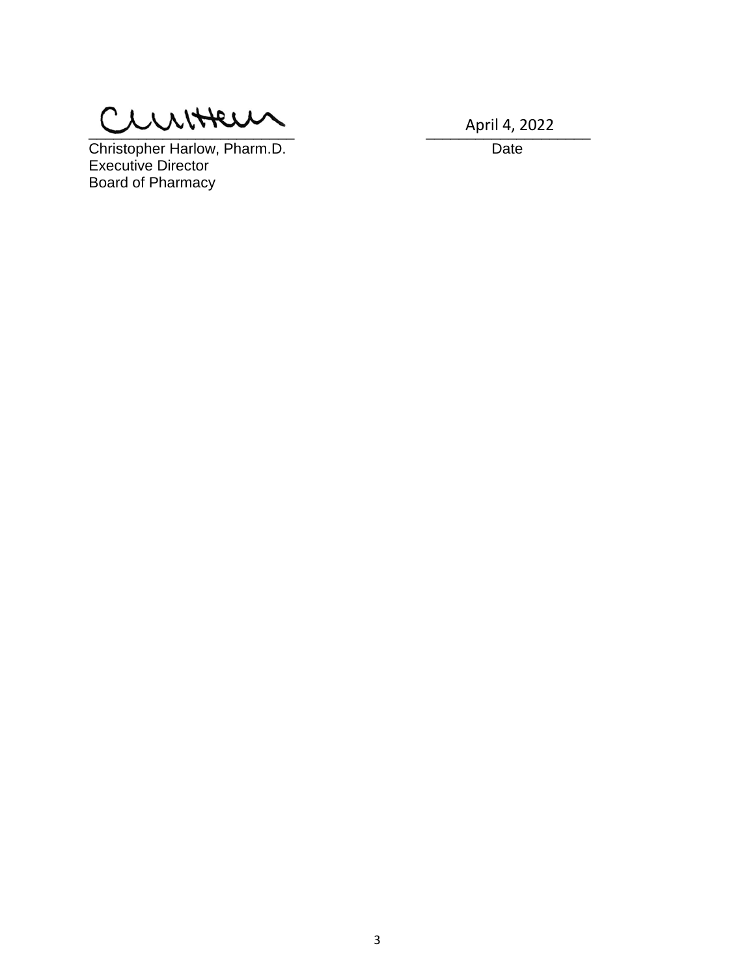$Q$ 

Christopher Harlow, Pharm.D. Date Executive Director Board of Pharmacy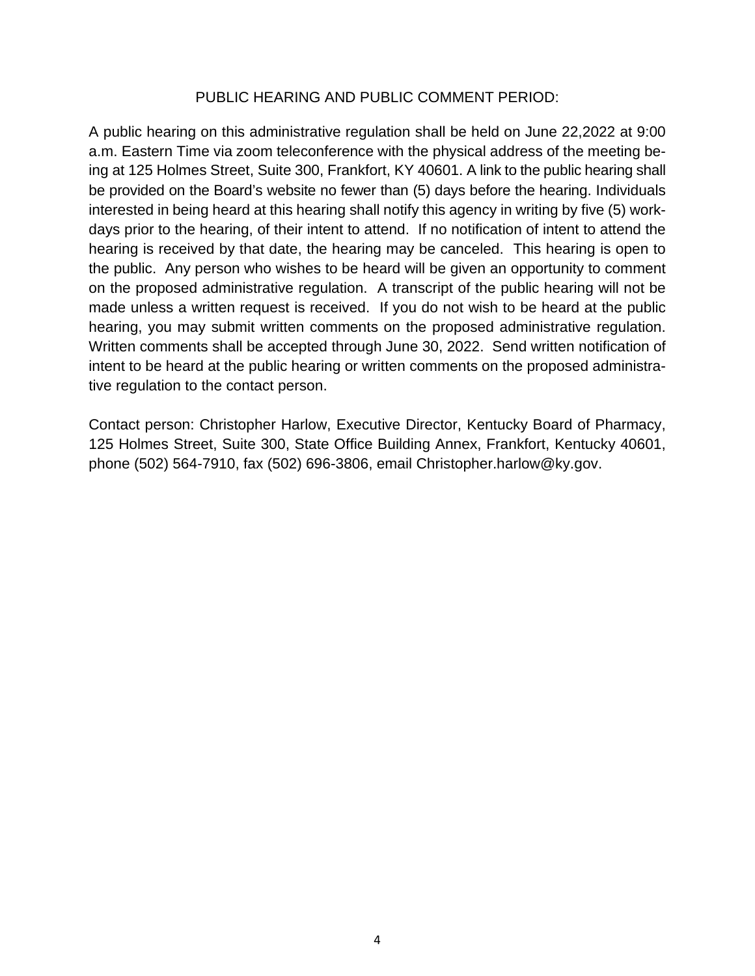## PUBLIC HEARING AND PUBLIC COMMENT PERIOD:

A public hearing on this administrative regulation shall be held on June 22,2022 at 9:00 a.m. Eastern Time via zoom teleconference with the physical address of the meeting being at 125 Holmes Street, Suite 300, Frankfort, KY 40601. A link to the public hearing shall be provided on the Board's website no fewer than (5) days before the hearing. Individuals interested in being heard at this hearing shall notify this agency in writing by five (5) workdays prior to the hearing, of their intent to attend. If no notification of intent to attend the hearing is received by that date, the hearing may be canceled. This hearing is open to the public. Any person who wishes to be heard will be given an opportunity to comment on the proposed administrative regulation. A transcript of the public hearing will not be made unless a written request is received. If you do not wish to be heard at the public hearing, you may submit written comments on the proposed administrative regulation. Written comments shall be accepted through June 30, 2022. Send written notification of intent to be heard at the public hearing or written comments on the proposed administrative regulation to the contact person.

Contact person: Christopher Harlow, Executive Director, Kentucky Board of Pharmacy, 125 Holmes Street, Suite 300, State Office Building Annex, Frankfort, Kentucky 40601, phone (502) 564-7910, fax (502) 696-3806, email Christopher.harlow@ky.gov.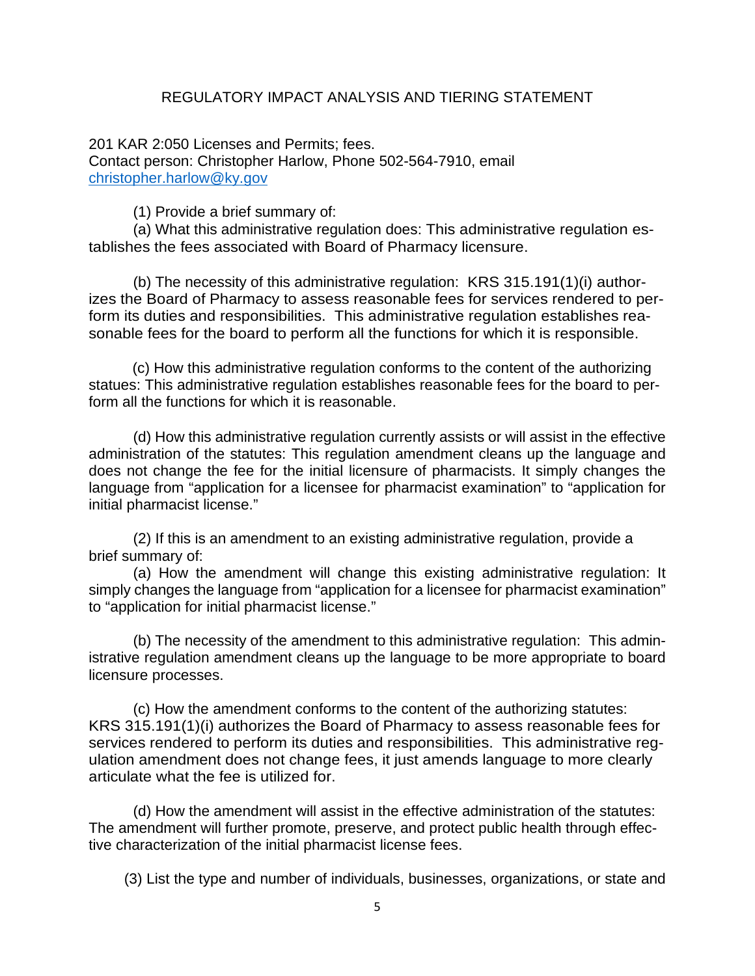# REGULATORY IMPACT ANALYSIS AND TIERING STATEMENT

201 KAR 2:050 Licenses and Permits; fees. Contact person: Christopher Harlow, Phone 502-564-7910, email [christopher.harlow@ky.gov](mailto:christopher.harlow@ky.gov)

(1) Provide a brief summary of:

(a) What this administrative regulation does: This administrative regulation establishes the fees associated with Board of Pharmacy licensure.

(b) The necessity of this administrative regulation: KRS 315.191(1)(i) authorizes the Board of Pharmacy to assess reasonable fees for services rendered to perform its duties and responsibilities. This administrative regulation establishes reasonable fees for the board to perform all the functions for which it is responsible.

 (c) How this administrative regulation conforms to the content of the authorizing statues: This administrative regulation establishes reasonable fees for the board to perform all the functions for which it is reasonable.

(d) How this administrative regulation currently assists or will assist in the effective administration of the statutes: This regulation amendment cleans up the language and does not change the fee for the initial licensure of pharmacists. It simply changes the language from "application for a licensee for pharmacist examination" to "application for initial pharmacist license."

(2) If this is an amendment to an existing administrative regulation, provide a brief summary of:

(a) How the amendment will change this existing administrative regulation: It simply changes the language from "application for a licensee for pharmacist examination" to "application for initial pharmacist license."

(b) The necessity of the amendment to this administrative regulation: This administrative regulation amendment cleans up the language to be more appropriate to board licensure processes.

(c) How the amendment conforms to the content of the authorizing statutes: KRS 315.191(1)(i) authorizes the Board of Pharmacy to assess reasonable fees for services rendered to perform its duties and responsibilities. This administrative regulation amendment does not change fees, it just amends language to more clearly articulate what the fee is utilized for.

(d) How the amendment will assist in the effective administration of the statutes: The amendment will further promote, preserve, and protect public health through effective characterization of the initial pharmacist license fees.

(3) List the type and number of individuals, businesses, organizations, or state and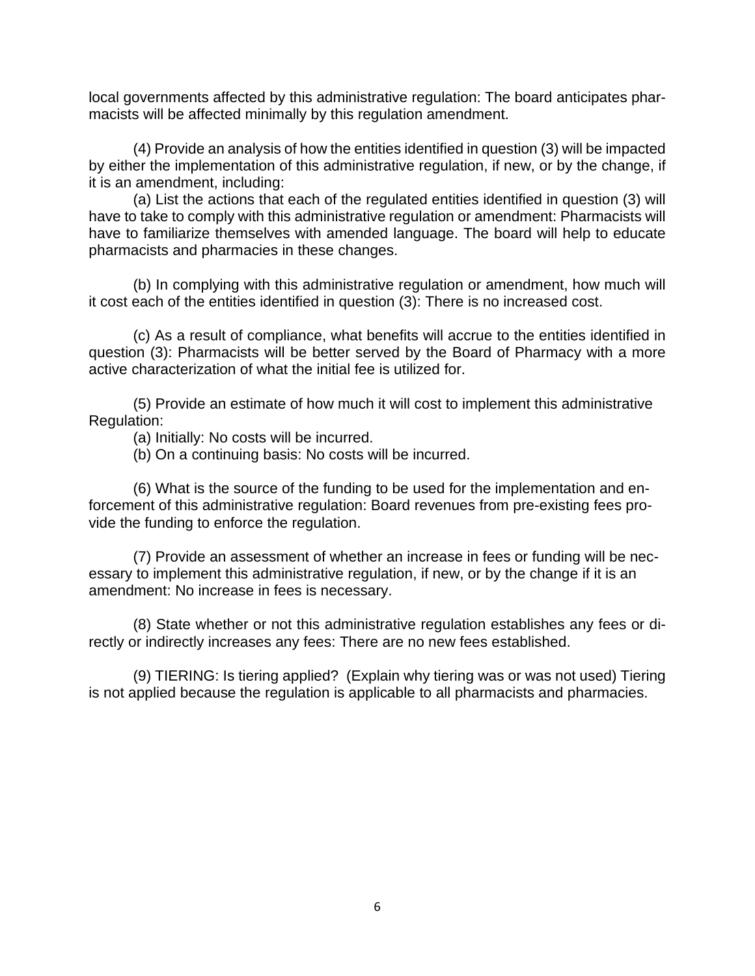local governments affected by this administrative regulation: The board anticipates pharmacists will be affected minimally by this regulation amendment.

(4) Provide an analysis of how the entities identified in question (3) will be impacted by either the implementation of this administrative regulation, if new, or by the change, if it is an amendment, including:

(a) List the actions that each of the regulated entities identified in question (3) will have to take to comply with this administrative regulation or amendment: Pharmacists will have to familiarize themselves with amended language. The board will help to educate pharmacists and pharmacies in these changes.

(b) In complying with this administrative regulation or amendment, how much will it cost each of the entities identified in question (3): There is no increased cost.

(c) As a result of compliance, what benefits will accrue to the entities identified in question (3): Pharmacists will be better served by the Board of Pharmacy with a more active characterization of what the initial fee is utilized for.

(5) Provide an estimate of how much it will cost to implement this administrative Regulation:

(a) Initially: No costs will be incurred.

(b) On a continuing basis: No costs will be incurred.

 (6) What is the source of the funding to be used for the implementation and enforcement of this administrative regulation: Board revenues from pre-existing fees provide the funding to enforce the regulation.

 (7) Provide an assessment of whether an increase in fees or funding will be necessary to implement this administrative regulation, if new, or by the change if it is an amendment: No increase in fees is necessary.

 (8) State whether or not this administrative regulation establishes any fees or directly or indirectly increases any fees: There are no new fees established.

 (9) TIERING: Is tiering applied? (Explain why tiering was or was not used) Tiering is not applied because the regulation is applicable to all pharmacists and pharmacies.